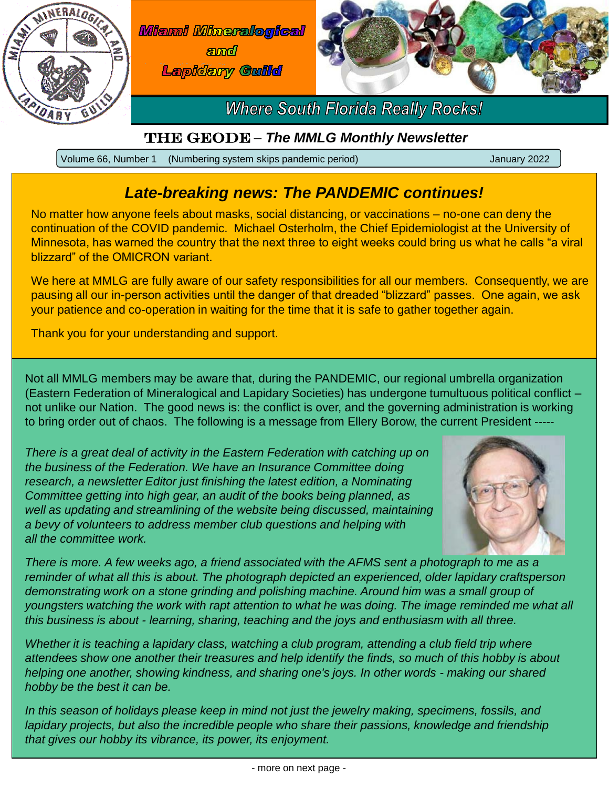

Volume 66, Number 1 (Numbering system skips pandemic period) January 2022

## *Late-breaking news: The PANDEMIC continues!*

No matter how anyone feels about masks, social distancing, or vaccinations – no-one can deny the continuation of the COVID pandemic. Michael Osterholm, the Chief Epidemiologist at the University of Minnesota, has warned the country that the next three to eight weeks could bring us what he calls "a viral blizzard" of the OMICRON variant.

We here at MMLG are fully aware of our safety responsibilities for all our members. Consequently, we are pausing all our in-person activities until the danger of that dreaded "blizzard" passes. One again, we ask your patience and co-operation in waiting for the time that it is safe to gather together again.

Thank you for your understanding and support.

Not all MMLG members may be aware that, during the PANDEMIC, our regional umbrella organization (Eastern Federation of Mineralogical and Lapidary Societies) has undergone tumultuous political conflict – not unlike our Nation. The good news is: the conflict is over, and the governing administration is working to bring order out of chaos. The following is a message from Ellery Borow, the current President -----

*There is a great deal of activity in the Eastern Federation with catching up on the business of the Federation. We have an Insurance Committee doing research, a newsletter Editor just finishing the latest edition, a Nominating Committee getting into high gear, an audit of the books being planned, as well as updating and streamlining of the website being discussed, maintaining a bevy of volunteers to address member club questions and helping with all the committee work.*



*There is more. A few weeks ago, a friend associated with the AFMS sent a photograph to me as a reminder of what all this is about. The photograph depicted an experienced, older lapidary craftsperson demonstrating work on a stone grinding and polishing machine. Around him was a small group of youngsters watching the work with rapt attention to what he was doing. The image reminded me what all this business is about - learning, sharing, teaching and the joys and enthusiasm with all three.*

*Whether it is teaching a lapidary class, watching a club program, attending a club field trip where attendees show one another their treasures and help identify the finds, so much of this hobby is about helping one another, showing kindness, and sharing one's joys. In other words - making our shared hobby be the best it can be.*

*In this season of holidays please keep in mind not just the jewelry making, specimens, fossils, and lapidary projects, but also the incredible people who share their passions, knowledge and friendship that gives our hobby its vibrance, its power, its enjoyment.*